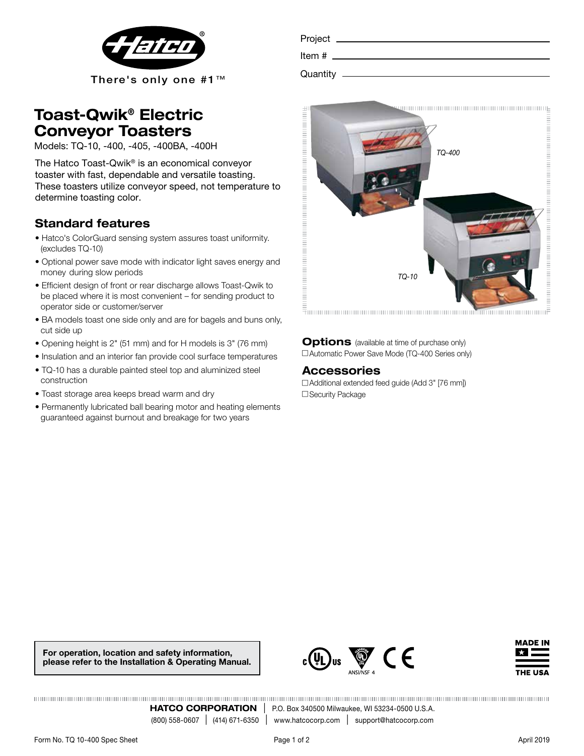

| <b>Toast-Qwik® Electric</b> |  |  |
|-----------------------------|--|--|
| <b>Conveyor Toasters</b>    |  |  |

Models: TQ-10, -400, -405, -400BA, -400H

The Hatco Toast-Qwik® is an economical conveyor toaster with fast, dependable and versatile toasting. These toasters utilize conveyor speed, not temperature to determine toasting color.

## Standard features

- Hatco's ColorGuard sensing system assures toast uniformity. (excludes TQ-10)
- Optional power save mode with indicator light saves energy and money during slow periods
- Efficient design of front or rear discharge allows Toast-Qwik to be placed where it is most convenient – for sending product to operator side or customer/server
- BA models toast one side only and are for bagels and buns only, cut side up
- Opening height is 2" (51 mm) and for H models is 3" (76 mm)
- Insulation and an interior fan provide cool surface temperatures
- TQ-10 has a durable painted steel top and aluminized steel construction
- Toast storage area keeps bread warm and dry
- Permanently lubricated ball bearing motor and heating elements guaranteed against burnout and breakage for two years

| Project    |  |
|------------|--|
| Item #     |  |
| Quantity — |  |
|            |  |



Options (available at time of purchase only) □ Automatic Power Save Mode (TQ-400 Series only)

### Accessories

 $\Box$  Additional extended feed quide (Add 3" [76 mm]) □ Security Package

For operation, location and safety information, please refer to the Installation & Operating Manual.





**HATCO CORPORATION** | P.O. Box 340500 Milwaukee, WI 53234-0500 U.S.A. (800) 558-0607 | (414) 671-6350 | www.hatcocorp.com | support@hatcocorp.com www.hatcocorp.com | support@hatcocorp.com